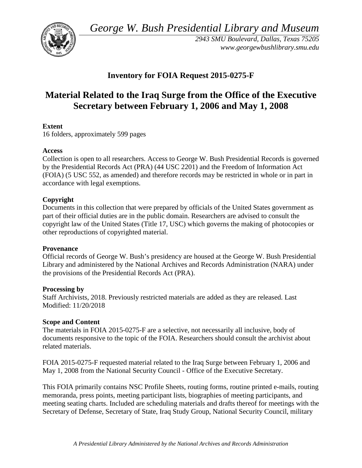*George W. Bush Presidential Library and Museum* 



 *2943 SMU Boulevard, Dallas, Texas 75205 <www.georgewbushlibrary.smu.edu>*

## **Inventory for FOIA Request 2015-0275-F**

# **Material Related to the Iraq Surge from the Office of the Executive Secretary between February 1, 2006 and May 1, 2008**

### **Extent**

16 folders, approximately 599 pages

### **Access**

 by the Presidential Records Act (PRA) (44 USC 2201) and the Freedom of Information Act Collection is open to all researchers. Access to George W. Bush Presidential Records is governed (FOIA) (5 USC 552, as amended) and therefore records may be restricted in whole or in part in accordance with legal exemptions.

### **Copyright**

 Documents in this collection that were prepared by officials of the United States government as part of their official duties are in the public domain. Researchers are advised to consult the copyright law of the United States (Title 17, USC) which governs the making of photocopies or other reproductions of copyrighted material.

#### **Provenance**

 Official records of George W. Bush's presidency are housed at the George W. Bush Presidential Library and administered by the National Archives and Records Administration (NARA) under the provisions of the Presidential Records Act (PRA).

### **Processing by**

 Modified: 11/20/2018 Staff Archivists, 2018. Previously restricted materials are added as they are released. Last

### **Scope and Content**

The materials in FOIA 2015-0275-F are a selective, not necessarily all inclusive, body of documents responsive to the topic of the FOIA. Researchers should consult the archivist about related materials.

 May 1, 2008 from the National Security Council - Office of the Executive Secretary. FOIA 2015-0275-F requested material related to the Iraq Surge between February 1, 2006 and

 meeting seating charts. Included are scheduling materials and drafts thereof for meetings with the This FOIA primarily contains NSC Profile Sheets, routing forms, routine printed e-mails, routing memoranda, press points, meeting participant lists, biographies of meeting participants, and Secretary of Defense, Secretary of State, Iraq Study Group, National Security Council, military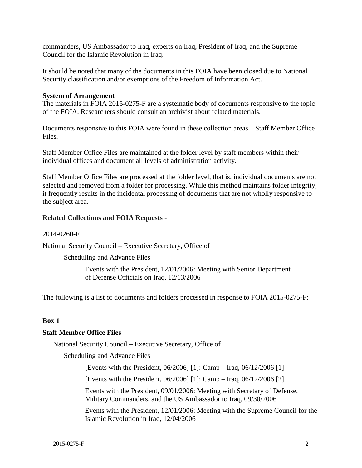commanders, US Ambassador to Iraq, experts on Iraq, President of Iraq, and the Supreme Council for the Islamic Revolution in Iraq.

It should be noted that many of the documents in this FOIA have been closed due to National Security classification and/or exemptions of the Freedom of Information Act.

#### **System of Arrangement**

The materials in FOIA 2015-0275-F are a systematic body of documents responsive to the topic of the FOIA. Researchers should consult an archivist about related materials.

 Documents responsive to this FOIA were found in these collection areas – Staff Member Office Files.

Staff Member Office Files are maintained at the folder level by staff members within their individual offices and document all levels of administration activity.

 selected and removed from a folder for processing. While this method maintains folder integrity, Staff Member Office Files are processed at the folder level, that is, individual documents are not it frequently results in the incidental processing of documents that are not wholly responsive to the subject area.

#### **Related Collections and FOIA Requests** -

#### 2014-0260-F

National Security Council – Executive Secretary, Office of

Scheduling and Advance Files

Events with the President, 12/01/2006: Meeting with Senior Department of Defense Officials on Iraq, 12/13/2006

The following is a list of documents and folders processed in response to FOIA 2015-0275-F:

#### **Box 1**

#### **Staff Member Office Files**

National Security Council – Executive Secretary, Office of

Scheduling and Advance Files

[Events with the President, 06/2006] [1]: Camp – Iraq, 06/12/2006 [1]

[Events with the President, 06/2006] [1]: Camp – Iraq, 06/12/2006 [2]

Events with the President, 09/01/2006: Meeting with Secretary of Defense, Military Commanders, and the US Ambassador to Iraq, 09/30/2006

Events with the President, 12/01/2006: Meeting with the Supreme Council for the Islamic Revolution in Iraq, 12/04/2006